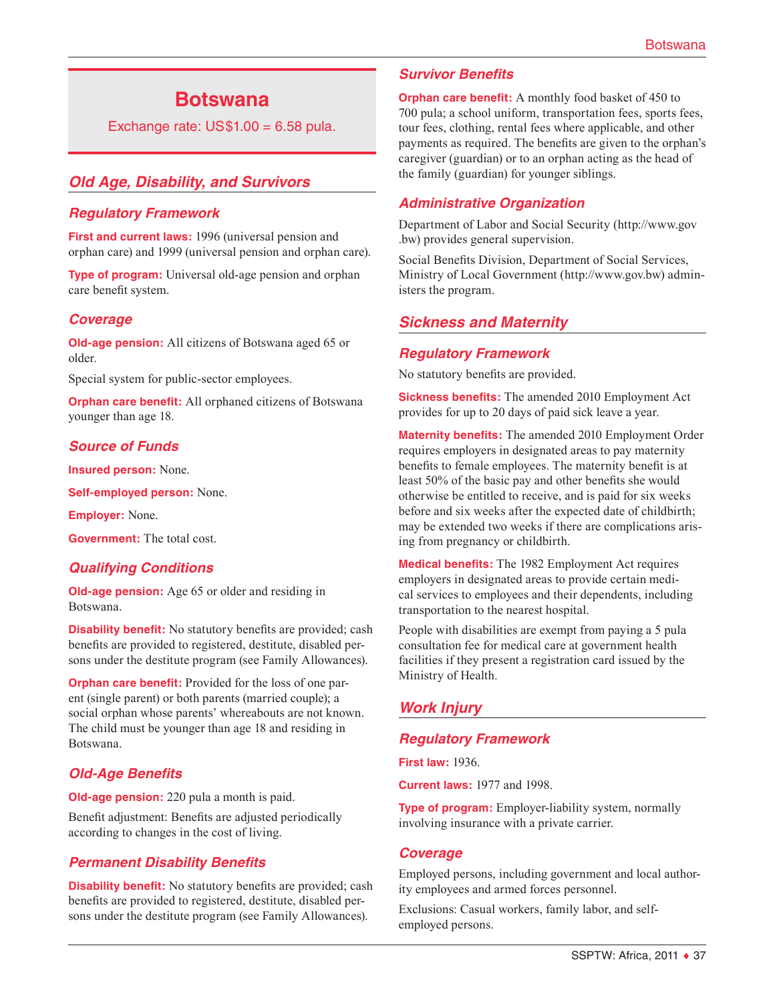# **Botswana**

Exchange rate:  $US$1.00 = 6.58$  pula.

# *Old Age, Disability, and Survivors*

### *Regulatory Framework*

**First and current laws:** 1996 (universal pension and orphan care) and 1999 (universal pension and orphan care).

**Type of program:** Universal old-age pension and orphan care benefit system.

#### *Coverage*

**Old-age pension:** All citizens of Botswana aged 65 or older.

Special system for public-sector employees.

**Orphan care benefit:** All orphaned citizens of Botswana younger than age 18.

### *Source of Funds*

**Insured person:** None.

**Self-employed person:** None.

**Employer:** None.

**Government:** The total cost.

### *Qualifying Conditions*

**Old-age pension:** Age 65 or older and residing in Botswana.

**Disability benefit:** No statutory benefits are provided; cash benefits are provided to registered, destitute, disabled persons under the destitute program (see Family Allowances).

**Orphan care benefit:** Provided for the loss of one parent (single parent) or both parents (married couple); a social orphan whose parents' whereabouts are not known. The child must be younger than age 18 and residing in Botswana.

### *Old-Age Benefits*

**Old-age pension:** 220 pula a month is paid.

Benefit adjustment: Benefits are adjusted periodically according to changes in the cost of living.

### *Permanent Disability Benefits*

**Disability benefit:** No statutory benefits are provided; cash benefits are provided to registered, destitute, disabled persons under the destitute program (see Family Allowances).

### *Survivor Benefits*

**Orphan care benefit:** A monthly food basket of 450 to 700 pula; a school uniform, transportation fees, sports fees, tour fees, clothing, rental fees where applicable, and other payments as required. The benefits are given to the orphan's caregiver (guardian) or to an orphan acting as the head of the family (guardian) for younger siblings.

#### *Administrative Organization*

Department of Labor and Social Security [\(http://www.gov](http://www.gov.bw) [.bw](http://www.gov.bw)) provides general supervision.

Social Benefits Division, Department of Social Services, Ministry of Local Government [\(http://www.gov.bw\)](http://www.gov.bw) administers the program.

### *Sickness and Maternity*

#### *Regulatory Framework*

No statutory benefits are provided.

**Sickness benefits:** The amended 2010 Employment Act provides for up to 20 days of paid sick leave a year.

**Maternity benefits:** The amended 2010 Employment Order requires employers in designated areas to pay maternity benefits to female employees. The maternity benefit is at least 50% of the basic pay and other benefits she would otherwise be entitled to receive, and is paid for six weeks before and six weeks after the expected date of childbirth; may be extended two weeks if there are complications arising from pregnancy or childbirth.

**Medical benefits:** The 1982 Employment Act requires employers in designated areas to provide certain medical services to employees and their dependents, including transportation to the nearest hospital.

People with disabilities are exempt from paying a 5 pula consultation fee for medical care at government health facilities if they present a registration card issued by the Ministry of Health.

# *Work Injury*

### *Regulatory Framework*

**First law:** 1936.

**Current laws:** 1977 and 1998.

**Type of program:** Employer-liability system, normally involving insurance with a private carrier.

#### *Coverage*

Employed persons, including government and local authority employees and armed forces personnel.

Exclusions: Casual workers, family labor, and selfemployed persons.